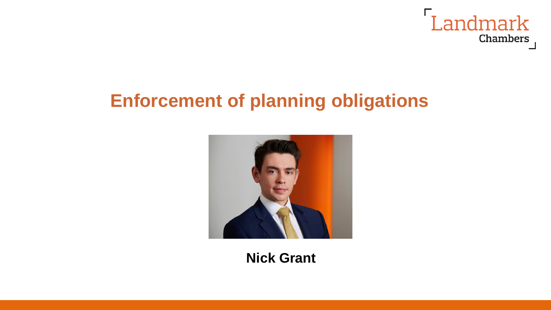

### **Enforcement of planning obligations**



**Nick Grant**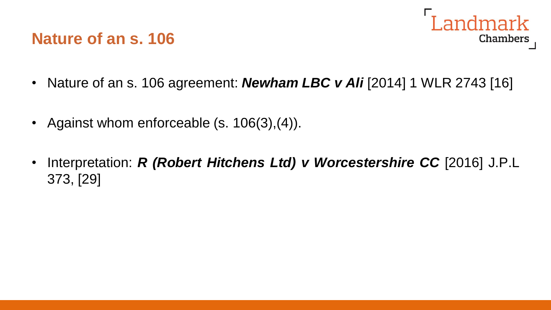### **Nature of an s. 106**



- Nature of an s. 106 agreement: *Newham LBC v Ali* [2014] 1 WLR 2743 [16]
- Against whom enforceable (s. 106(3), (4)).
- Interpretation: *R (Robert Hitchens Ltd) v Worcestershire CC* [2016] J.P.L 373, [29]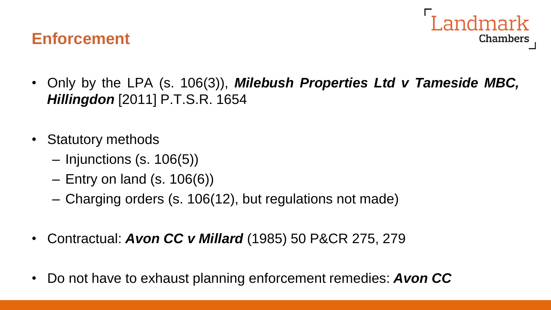### **Enforcement**



- Only by the LPA (s. 106(3)), *Milebush Properties Ltd v Tameside MBC, Hillingdon* [2011] P.T.S.R. 1654
- Statutory methods
	- Injunctions (s. 106(5))
	- $-$  Entry on land (s. 106(6))
	- Charging orders (s. 106(12), but regulations not made)
- Contractual: *Avon CC v Millard* (1985) 50 P&CR 275, 279
- Do not have to exhaust planning enforcement remedies: *Avon CC*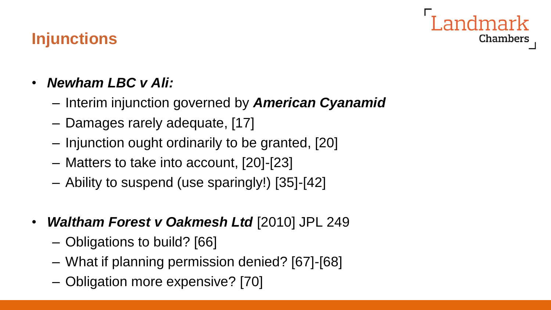# Chambers

## **Injunctions**

- *Newham LBC v Ali:*
	- Interim injunction governed by *American Cyanamid*
	- Damages rarely adequate, [17]
	- Injunction ought ordinarily to be granted, [20]
	- Matters to take into account, [20]-[23]
	- Ability to suspend (use sparingly!) [35]-[42]
- *Waltham Forest v Oakmesh Ltd* [2010] JPL 249
	- Obligations to build? [66]
	- What if planning permission denied? [67]-[68]
	- Obligation more expensive? [70]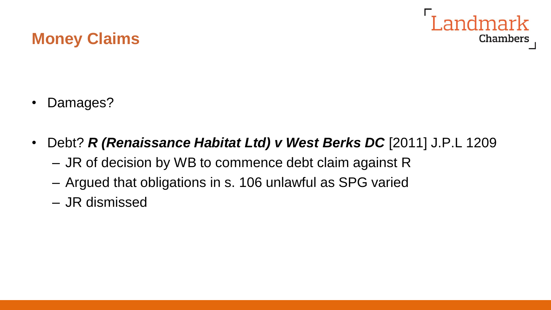

#### **Money Claims**

- Damages?
- Debt? *R (Renaissance Habitat Ltd) v West Berks DC* [2011] J.P.L 1209 – JR of decision by WB to commence debt claim against R
	- Argued that obligations in s. 106 unlawful as SPG varied
	- JR dismissed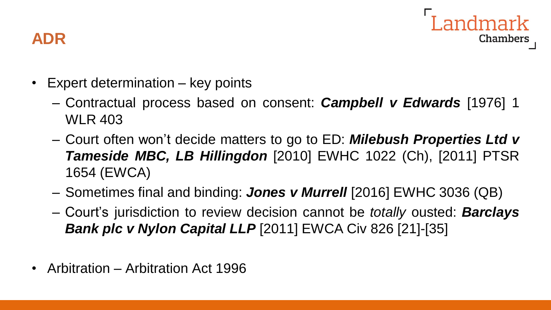

### **ADR**

- Expert determination key points
	- Contractual process based on consent: *Campbell v Edwards* [1976] 1 WLR 403
	- Court often won't decide matters to go to ED: *Milebush Properties Ltd v Tameside MBC, LB Hillingdon* [2010] EWHC 1022 (Ch), [2011] PTSR 1654 (EWCA)
	- Sometimes final and binding: *Jones v Murrell* [2016] EWHC 3036 (QB)
	- Court's jurisdiction to review decision cannot be *totally* ousted: *Barclays Bank plc v Nylon Capital LLP* [2011] EWCA Civ 826 [21]-[35]
- Arbitration Arbitration Act 1996